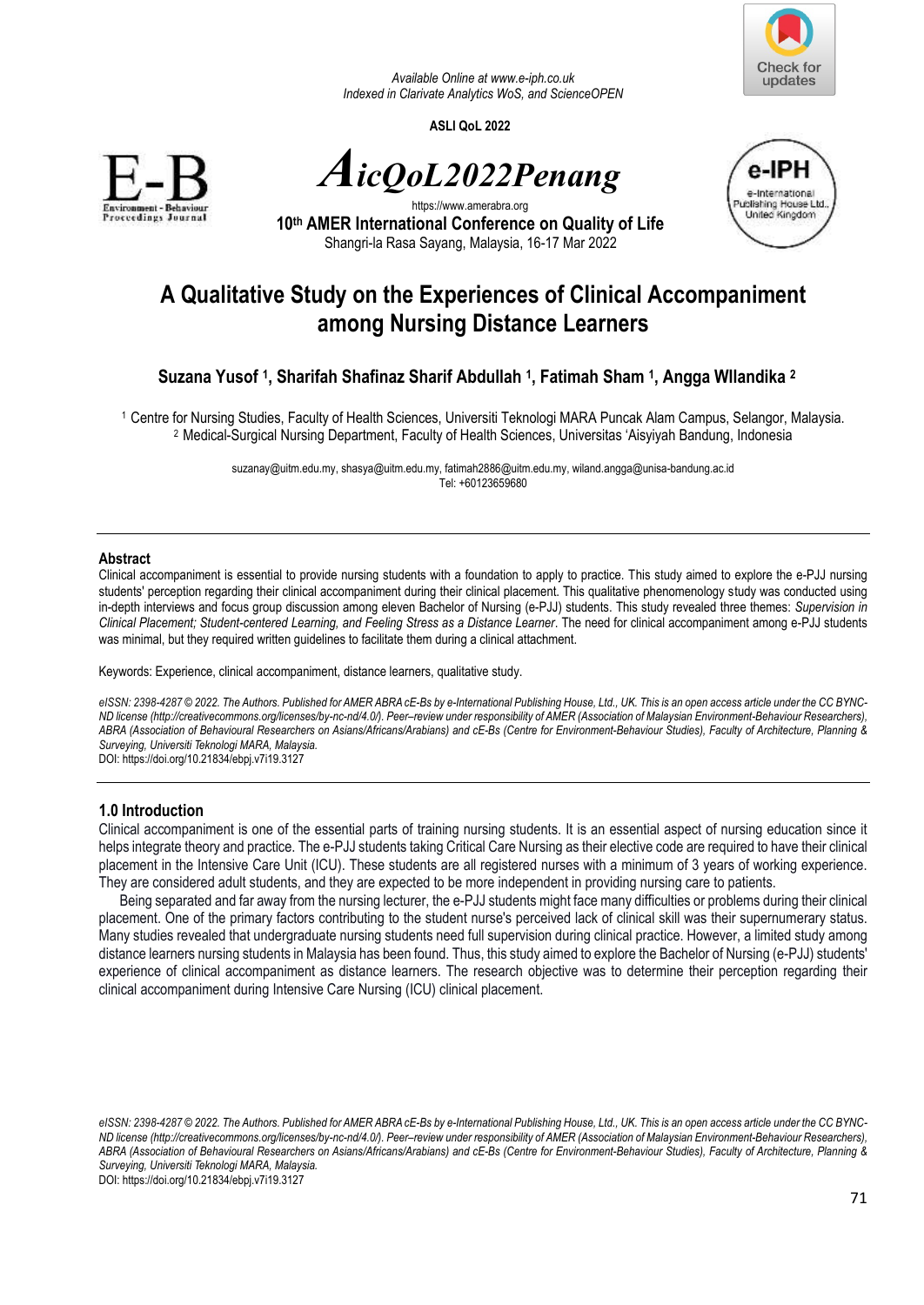

*Available Online a[t www.e-iph.co.uk](http://www.e-iph.co.uk/)  Indexed in Clarivate Analytics WoS, and ScienceOPEN* 

**ASLI QoL 2022** 



*AicQoL2022Penang*



https://www.amerabra.org **10th AMER International Conference on Quality of Life** Shangri-la Rasa Sayang, Malaysia, 16-17 Mar 2022

# **A Qualitative Study on the Experiences of Clinical Accompaniment among Nursing Distance Learners**

## **Suzana Yusof <sup>1</sup> , Sharifah Shafinaz Sharif Abdullah <sup>1</sup> , Fatimah Sham <sup>1</sup> , Angga WIlandika <sup>2</sup>**

<sup>1</sup>Centre for Nursing Studies, Faculty of Health Sciences, Universiti Teknologi MARA Puncak Alam Campus, Selangor, Malaysia. <sup>2</sup>Medical-Surgical Nursing Department, Faculty of Health Sciences, Universitas 'Aisyiyah Bandung, Indonesia

> [suzanay@uitm.edu.my,](mailto:suzanay@uitm.edu.my) [shasya@uitm.edu.my,](mailto:shasya@uitm.edu.my) [fatimah2886@uitm.edu.my,](mailto:fatimah2886@uitm.edu.my) [wiland.angga@unisa-bandung.ac.id](mailto:wiland.angga@unisa-bandung.ac.id)  Tel: +60123659680

#### **Abstract**

Clinical accompaniment is essential to provide nursing students with a foundation to apply to practice. This study aimed to explore the e-PJJ nursing students' perception regarding their clinical accompaniment during their clinical placement. This qualitative phenomenology study was conducted using in-depth interviews and focus group discussion among eleven Bachelor of Nursing (e-PJJ) students. This study revealed three themes: *Supervision in Clinical Placement; Student-centered Learning, and Feeling Stress as a Distance Learner*. The need for clinical accompaniment among e-PJJ students was minimal, but they required written guidelines to facilitate them during a clinical attachment.

Keywords: Experience, clinical accompaniment, distance learners, qualitative study.

eISSN: 2398-4287 © 2022. The Authors. Published for AMER ABRA cE-Bs by e-International Publishing House, Ltd., UK. This is an open access article under the CC BYNC-*ND license (http://creativecommons.org/licenses/by-nc-nd/4.0/). Peer–review under responsibility of AMER (Association of Malaysian Environment-Behaviour Researchers), ABRA (Association of Behavioural Researchers on Asians/Africans/Arabians) and cE-Bs (Centre for Environment-Behaviour Studies), Faculty of Architecture, Planning & Surveying, Universiti Teknologi MARA, Malaysia.* 

DOI: https://doi.org/10.21834/ebpj.v7i19.3127

#### **1.0 Introduction**

Clinical accompaniment is one of the essential parts of training nursing students. It is an essential aspect of nursing education since it helps integrate theory and practice. The e-PJJ students taking Critical Care Nursing as their elective code are required to have their clinical placement in the Intensive Care Unit (ICU). These students are all registered nurses with a minimum of 3 years of working experience. They are considered adult students, and they are expected to be more independent in providing nursing care to patients.

Being separated and far away from the nursing lecturer, the e-PJJ students might face many difficulties or problems during their clinical placement. One of the primary factors contributing to the student nurse's perceived lack of clinical skill was their supernumerary status. Many studies revealed that undergraduate nursing students need full supervision during clinical practice. However, a limited study among distance learners nursing students in Malaysia has been found. Thus, this study aimed to explore the Bachelor of Nursing (e-PJJ) students' experience of clinical accompaniment as distance learners. The research objective was to determine their perception regarding their clinical accompaniment during Intensive Care Nursing (ICU) clinical placement.

*eISSN: 2398-4287 © 2022. The Authors. Published for AMER ABRA cE-Bs by e-International Publishing House, Ltd., UK. This is an open access article under the CC BYNC-ND license (http://creativecommons.org/licenses/by-nc-nd/4.0/). Peer–review under responsibility of AMER (Association of Malaysian Environment-Behaviour Researchers), ABRA (Association of Behavioural Researchers on Asians/Africans/Arabians) and cE-Bs (Centre for Environment-Behaviour Studies), Faculty of Architecture, Planning & Surveying, Universiti Teknologi MARA, Malaysia.* 

DOI: https://doi.org/10.21834/ebpj.v7i19.3127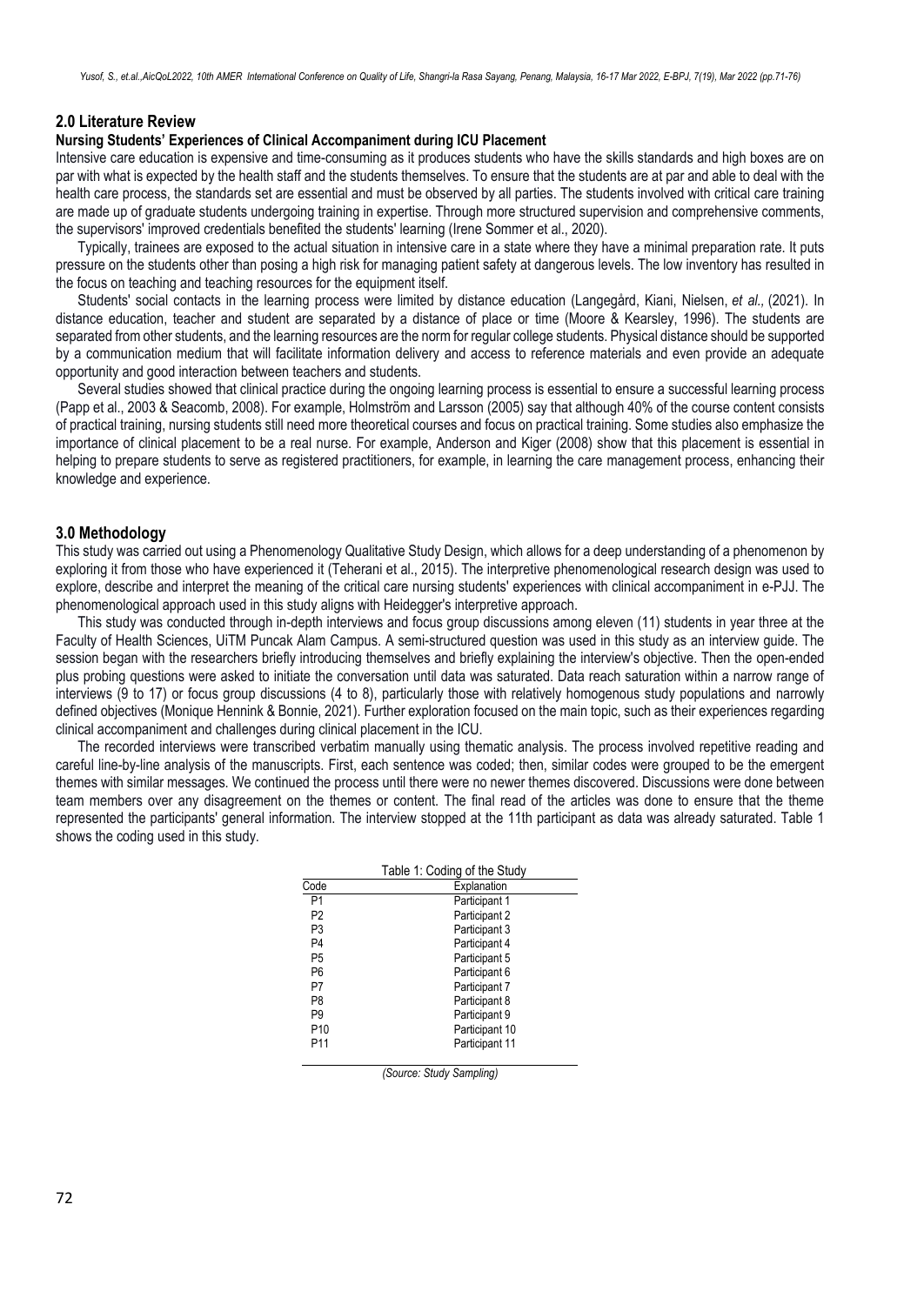#### **2.0 Literature Review**

#### **Nursing Students' Experiences of Clinical Accompaniment during ICU Placement**

Intensive care education is expensive and time-consuming as it produces students who have the skills standards and high boxes are on par with what is expected by the health staff and the students themselves. To ensure that the students are at par and able to deal with the health care process, the standards set are essential and must be observed by all parties. The students involved with critical care training are made up of graduate students undergoing training in expertise. Through more structured supervision and comprehensive comments, the supervisors' improved credentials benefited the students' learning (Irene Sommer et al., 2020).

Typically, trainees are exposed to the actual situation in intensive care in a state where they have a minimal preparation rate. It puts pressure on the students other than posing a high risk for managing patient safety at dangerous levels. The low inventory has resulted in the focus on teaching and teaching resources for the equipment itself.

Students' social contacts in the learning process were limited by distance education (Langegård, Kiani, Nielsen, *et al.,* (2021). In distance education, teacher and student are separated by a distance of place or time (Moore & Kearsley, 1996). The students are separated from other students, and the learning resources are the norm for regular college students. Physical distance should be supported by a communication medium that will facilitate information delivery and access to reference materials and even provide an adequate opportunity and good interaction between teachers and students.

Several studies showed that clinical practice during the ongoing learning process is essential to ensure a successful learning process (Papp et al., 2003 & Seacomb, 2008). For example, Holmström and Larsson (2005) say that although 40% of the course content consists of practical training, nursing students still need more theoretical courses and focus on practical training. Some studies also emphasize the importance of clinical placement to be a real nurse. For example, Anderson and Kiger (2008) show that this placement is essential in helping to prepare students to serve as registered practitioners, for example, in learning the care management process, enhancing their knowledge and experience.

#### **3.0 Methodology**

This study was carried out using a Phenomenology Qualitative Study Design, which allows for a deep understanding of a phenomenon by exploring it from those who have experienced it (Teherani et al., 2015). The interpretive phenomenological research design was used to explore, describe and interpret the meaning of the critical care nursing students' experiences with clinical accompaniment in e-PJJ. The phenomenological approach used in this study aligns with Heidegger's interpretive approach.

This study was conducted through in-depth interviews and focus group discussions among eleven (11) students in year three at the Faculty of Health Sciences, UiTM Puncak Alam Campus. A semi-structured question was used in this study as an interview guide. The session began with the researchers briefly introducing themselves and briefly explaining the interview's objective. Then the open-ended plus probing questions were asked to initiate the conversation until data was saturated. Data reach saturation within a narrow range of interviews (9 to 17) or focus group discussions (4 to 8), particularly those with relatively homogenous study populations and narrowly defined objectives (Monique Hennink & Bonnie, 2021). Further exploration focused on the main topic, such as their experiences regarding clinical accompaniment and challenges during clinical placement in the ICU.

The recorded interviews were transcribed verbatim manually using thematic analysis. The process involved repetitive reading and careful line-by-line analysis of the manuscripts. First, each sentence was coded; then, similar codes were grouped to be the emergent themes with similar messages. We continued the process until there were no newer themes discovered. Discussions were done between team members over any disagreement on the themes or content. The final read of the articles was done to ensure that the theme represented the participants' general information. The interview stopped at the 11th participant as data was already saturated. Table 1 shows the coding used in this study.

|                 | Table 1: Coding of the Study |
|-----------------|------------------------------|
| Code            | Explanation                  |
| P1              | Participant 1                |
| P <sub>2</sub>  | Participant 2                |
| P3              | Participant 3                |
| P4              | Participant 4                |
| P5              | Participant 5                |
| P6              | Participant 6                |
| P7              | Participant 7                |
| P8              | Participant 8                |
| P9              | Participant 9                |
| P <sub>10</sub> | Participant 10               |
| P11             | Participant 11               |

*(Source: Study Sampling)*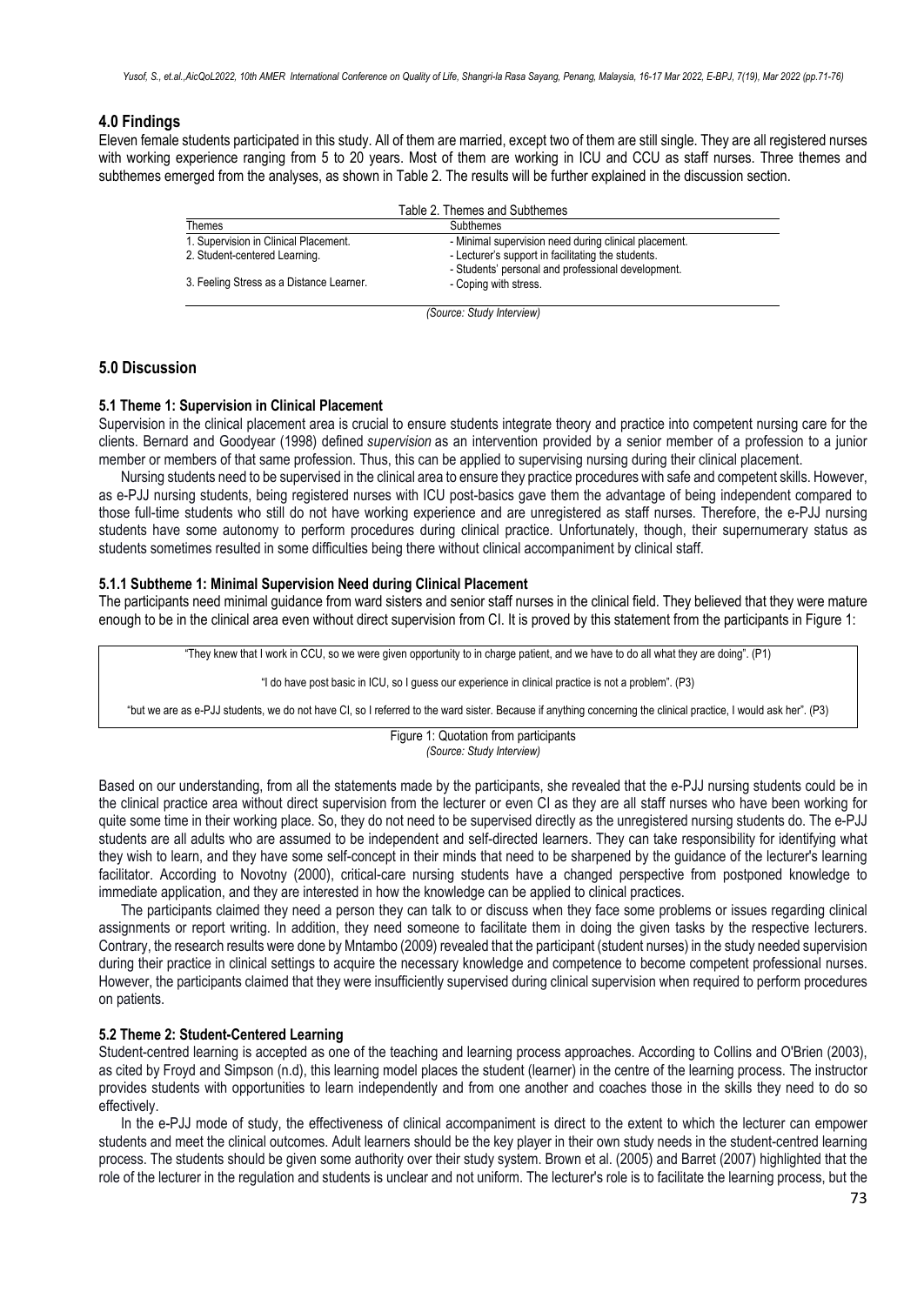#### **4.0 Findings**

Eleven female students participated in this study. All of them are married, except two of them are still single. They are all registered nurses with working experience ranging from 5 to 20 years. Most of them are working in ICU and CCU as staff nurses. Three themes and subthemes emerged from the analyses, as shown in Table 2. The results will be further explained in the discussion section.

|                                          | Table 2. Themes and Subthemes                                                                            |  |
|------------------------------------------|----------------------------------------------------------------------------------------------------------|--|
| Themes                                   | Subthemes                                                                                                |  |
| 1. Supervision in Clinical Placement.    | - Minimal supervision need during clinical placement.                                                    |  |
| 2. Student-centered Learning.            | - Lecturer's support in facilitating the students.<br>- Students' personal and professional development. |  |
| 3. Feeling Stress as a Distance Learner. | - Coping with stress.                                                                                    |  |
|                                          | (Source: Study Interview)                                                                                |  |

## **5.0 Discussion**

#### **5.1 Theme 1: Supervision in Clinical Placement**

Supervision in the clinical placement area is crucial to ensure students integrate theory and practice into competent nursing care for the clients. Bernard and Goodyear (1998) defined *supervision* as an intervention provided by a senior member of a profession to a junior member or members of that same profession. Thus, this can be applied to supervising nursing during their clinical placement.

Nursing students need to be supervised in the clinical area to ensure they practice procedures with safe and competent skills. However, as e-PJJ nursing students, being registered nurses with ICU post-basics gave them the advantage of being independent compared to those full-time students who still do not have working experience and are unregistered as staff nurses. Therefore, the e-PJJ nursing students have some autonomy to perform procedures during clinical practice. Unfortunately, though, their supernumerary status as students sometimes resulted in some difficulties being there without clinical accompaniment by clinical staff.

#### **5.1.1 Subtheme 1: Minimal Supervision Need during Clinical Placement**

The participants need minimal guidance from ward sisters and senior staff nurses in the clinical field. They believed that they were mature enough to be in the clinical area even without direct supervision from CI. It is proved by this statement from the participants in Figure 1:

"They knew that I work in CCU, so we were given opportunity to in charge patient, and we have to do all what they are doing". (P1)

"I do have post basic in ICU, so I guess our experience in clinical practice is not a problem". (P3)

"but we are as e-PJJ students, we do not have CI, so I referred to the ward sister. Because if anything concerning the clinical practice, I would ask her". (P3)

Figure 1: Quotation from participants *(Source: Study Interview)*

Based on our understanding, from all the statements made by the participants, she revealed that the e-PJJ nursing students could be in the clinical practice area without direct supervision from the lecturer or even CI as they are all staff nurses who have been working for quite some time in their working place. So, they do not need to be supervised directly as the unregistered nursing students do. The e-PJJ students are all adults who are assumed to be independent and self-directed learners. They can take responsibility for identifying what they wish to learn, and they have some self-concept in their minds that need to be sharpened by the guidance of the lecturer's learning facilitator. According to Novotny (2000), critical-care nursing students have a changed perspective from postponed knowledge to immediate application, and they are interested in how the knowledge can be applied to clinical practices.

The participants claimed they need a person they can talk to or discuss when they face some problems or issues regarding clinical assignments or report writing. In addition, they need someone to facilitate them in doing the given tasks by the respective lecturers. Contrary, the research results were done by Mntambo (2009) revealed that the participant (student nurses) in the study needed supervision during their practice in clinical settings to acquire the necessary knowledge and competence to become competent professional nurses. However, the participants claimed that they were insufficiently supervised during clinical supervision when required to perform procedures on patients.

#### **5.2 Theme 2: Student-Centered Learning**

Student-centred learning is accepted as one of the teaching and learning process approaches. According to Collins and O'Brien (2003), as cited by Froyd and Simpson (n.d), this learning model places the student (learner) in the centre of the learning process. The instructor provides students with opportunities to learn independently and from one another and coaches those in the skills they need to do so effectively.

In the e-PJJ mode of study, the effectiveness of clinical accompaniment is direct to the extent to which the lecturer can empower students and meet the clinical outcomes. Adult learners should be the key player in their own study needs in the student-centred learning process. The students should be given some authority over their study system. Brown et al. (2005) and Barret (2007) highlighted that the role of the lecturer in the regulation and students is unclear and not uniform. The lecturer's role is to facilitate the learning process, but the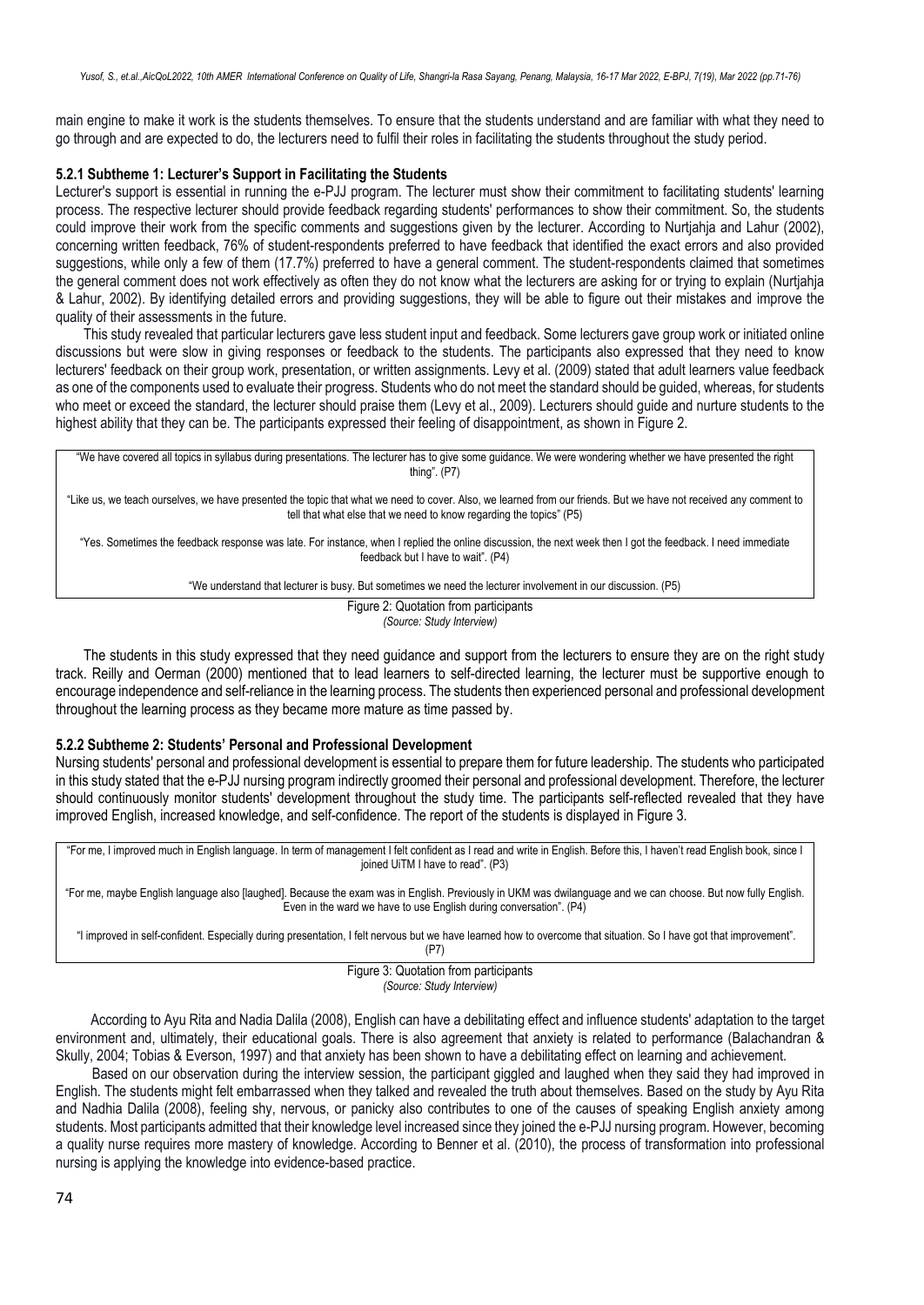main engine to make it work is the students themselves. To ensure that the students understand and are familiar with what they need to go through and are expected to do, the lecturers need to fulfil their roles in facilitating the students throughout the study period.

#### **5.2.1 Subtheme 1: Lecturer's Support in Facilitating the Students**

Lecturer's support is essential in running the e-PJJ program. The lecturer must show their commitment to facilitating students' learning process. The respective lecturer should provide feedback regarding students' performances to show their commitment. So, the students could improve their work from the specific comments and suggestions given by the lecturer. According to Nurtjahja and Lahur (2002), concerning written feedback, 76% of student-respondents preferred to have feedback that identified the exact errors and also provided suggestions, while only a few of them (17.7%) preferred to have a general comment. The student-respondents claimed that sometimes the general comment does not work effectively as often they do not know what the lecturers are asking for or trying to explain (Nurtjahja & Lahur, 2002). By identifying detailed errors and providing suggestions, they will be able to figure out their mistakes and improve the quality of their assessments in the future.

This study revealed that particular lecturers gave less student input and feedback. Some lecturers gave group work or initiated online discussions but were slow in giving responses or feedback to the students. The participants also expressed that they need to know lecturers' feedback on their group work, presentation, or written assignments. Levy et al. (2009) stated that adult learners value feedback as one of the components used to evaluate their progress. Students who do not meet the standard should be guided, whereas, for students who meet or exceed the standard, the lecturer should praise them (Levy et al., 2009). Lecturers should guide and nurture students to the highest ability that they can be. The participants expressed their feeling of disappointment, as shown in Figure 2.

"We have covered all topics in syllabus during presentations. The lecturer has to give some guidance. We were wondering whether we have presented the right thing". (P7) "Like us, we teach ourselves, we have presented the topic that what we need to cover. Also, we learned from our friends. But we have not received any comment to tell that what else that we need to know regarding the topics" (P5) "Yes. Sometimes the feedback response was late. For instance, when I replied the online discussion, the next week then I got the feedback. I need immediate feedback but I have to wait". (P4) "We understand that lecturer is busy. But sometimes we need the lecturer involvement in our discussion. (P5) Figure 2: Quotation from participants

*(Source: Study Interview)*

The students in this study expressed that they need guidance and support from the lecturers to ensure they are on the right study track. Reilly and Oerman (2000) mentioned that to lead learners to self-directed learning, the lecturer must be supportive enough to encourage independence and self-reliance in the learning process. The students then experienced personal and professional development throughout the learning process as they became more mature as time passed by.

#### **5.2.2 Subtheme 2: Students' Personal and Professional Development**

Nursing students' personal and professional development is essential to prepare them for future leadership. The students who participated in this study stated that the e-PJJ nursing program indirectly groomed their personal and professional development. Therefore, the lecturer should continuously monitor students' development throughout the study time. The participants self-reflected revealed that they have improved English, increased knowledge, and self-confidence. The report of the students is displayed in Figure 3.

"For me, I improved much in English language. In term of management I felt confident as I read and write in English. Before this, I haven't read English book, since I joined UiTM I have to read". (P3)

"For me, maybe English language also [laughed]. Because the exam was in English. Previously in UKM was dwilanguage and we can choose. But now fully English. Even in the ward we have to use English during conversation". (P4)

"I improved in self-confident. Especially during presentation, I felt nervous but we have learned how to overcome that situation. So I have got that improvement".

(P7)

Figure 3: Quotation from participants *(Source: Study Interview)*

According to Ayu Rita and Nadia Dalila (2008), English can have a debilitating effect and influence students' adaptation to the target environment and, ultimately, their educational goals. There is also agreement that anxiety is related to performance (Balachandran & Skully, 2004; Tobias & Everson, 1997) and that anxiety has been shown to have a debilitating effect on learning and achievement.

 Based on our observation during the interview session, the participant giggled and laughed when they said they had improved in English. The students might felt embarrassed when they talked and revealed the truth about themselves. Based on the study by Ayu Rita and Nadhia Dalila (2008), feeling shy, nervous, or panicky also contributes to one of the causes of speaking English anxiety among students. Most participants admitted that their knowledge level increased since they joined the e-PJJ nursing program. However, becoming a quality nurse requires more mastery of knowledge. According to Benner et al. (2010), the process of transformation into professional nursing is applying the knowledge into evidence-based practice.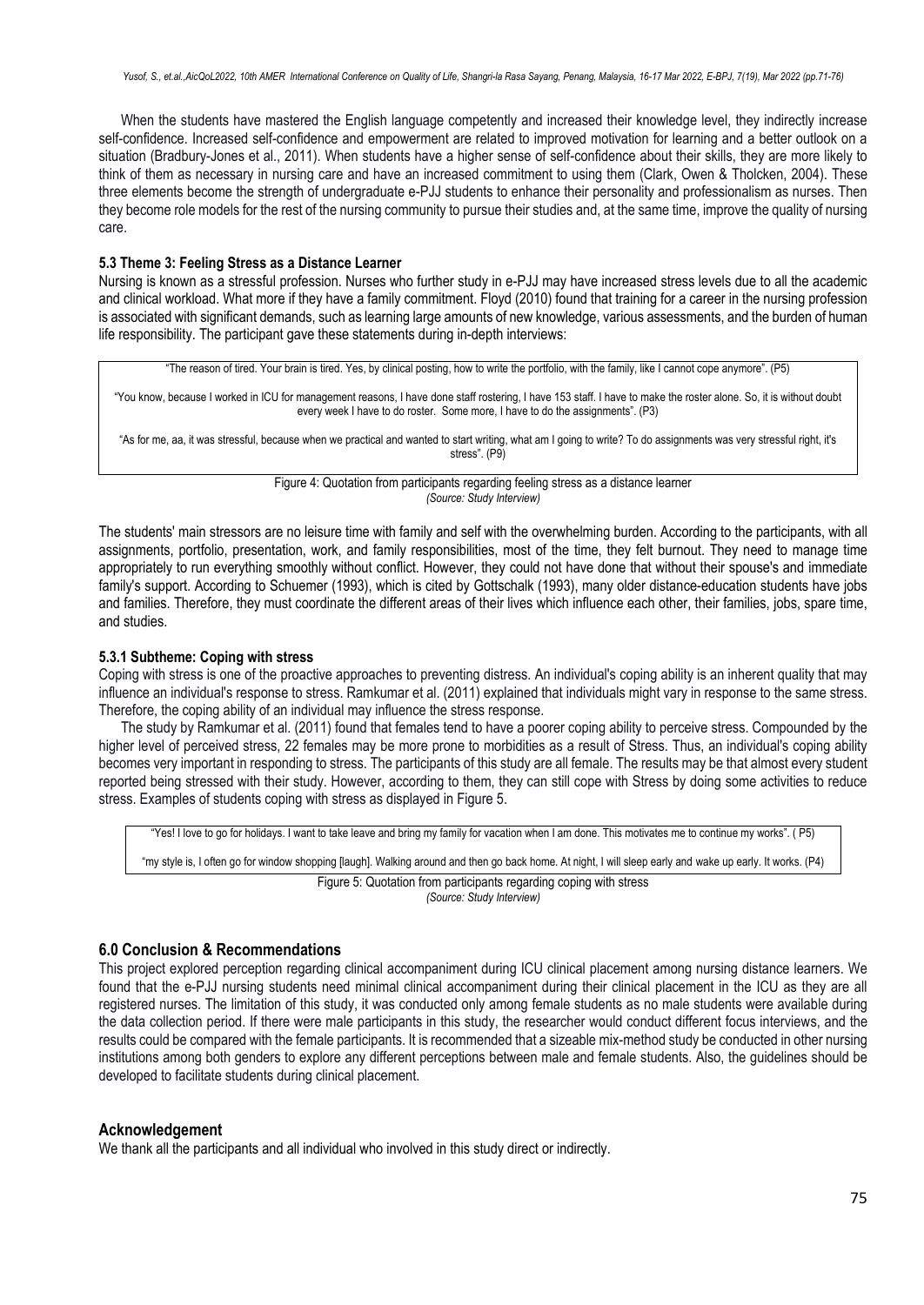When the students have mastered the English language competently and increased their knowledge level, they indirectly increase self-confidence. Increased self-confidence and empowerment are related to improved motivation for learning and a better outlook on a situation (Bradbury-Jones et al., 2011). When students have a higher sense of self-confidence about their skills, they are more likely to think of them as necessary in nursing care and have an increased commitment to using them (Clark, Owen & Tholcken, 2004). These three elements become the strength of undergraduate e-PJJ students to enhance their personality and professionalism as nurses. Then they become role models for the rest of the nursing community to pursue their studies and, at the same time, improve the quality of nursing care.

#### **5.3 Theme 3: Feeling Stress as a Distance Learner**

Nursing is known as a stressful profession. Nurses who further study in e-PJJ may have increased stress levels due to all the academic and clinical workload. What more if they have a family commitment. Floyd (2010) found that training for a career in the nursing profession is associated with significant demands, such as learning large amounts of new knowledge, various assessments, and the burden of human life responsibility. The participant gave these statements during in-depth interviews:

"The reason of tired. Your brain is tired. Yes, by clinical posting, how to write the portfolio, with the family, like I cannot cope anymore". (P5) "You know, because I worked in ICU for management reasons, I have done staff rostering, I have 153 staff. I have to make the roster alone. So, it is without doubt every week I have to do roster. Some more, I have to do the assignments". (P3)

"As for me, aa, it was stressful, because when we practical and wanted to start writing, what am I going to write? To do assignments was very stressful right, it's stress". (P9)

> Figure 4: Quotation from participants regarding feeling stress as a distance learner *(Source: Study Interview)*

The students' main stressors are no leisure time with family and self with the overwhelming burden. According to the participants, with all assignments, portfolio, presentation, work, and family responsibilities, most of the time, they felt burnout. They need to manage time appropriately to run everything smoothly without conflict. However, they could not have done that without their spouse's and immediate family's support. According to Schuemer (1993), which is cited by Gottschalk (1993), many older distance-education students have jobs and families. Therefore, they must coordinate the different areas of their lives which influence each other, their families, jobs, spare time, and studies.

### **5.3.1 Subtheme: Coping with stress**

Coping with stress is one of the proactive approaches to preventing distress. An individual's coping ability is an inherent quality that may influence an individual's response to stress. Ramkumar et al. (2011) explained that individuals might vary in response to the same stress. Therefore, the coping ability of an individual may influence the stress response.

The study by Ramkumar et al. (2011) found that females tend to have a poorer coping ability to perceive stress. Compounded by the higher level of perceived stress, 22 females may be more prone to morbidities as a result of Stress. Thus, an individual's coping ability becomes very important in responding to stress. The participants of this study are all female. The results may be that almost every student reported being stressed with their study. However, according to them, they can still cope with Stress by doing some activities to reduce stress. Examples of students coping with stress as displayed in Figure 5.

"Yes! I love to go for holidays. I want to take leave and bring my family for vacation when I am done. This motivates me to continue my works". ( P5)

"my style is, I often go for window shopping [laugh]. Walking around and then go back home. At night, I will sleep early and wake up early. It works. (P4)

Figure 5: Quotation from participants regarding coping with stress *(Source: Study Interview)*

## **6.0 Conclusion & Recommendations**

This project explored perception regarding clinical accompaniment during ICU clinical placement among nursing distance learners. We found that the e-PJJ nursing students need minimal clinical accompaniment during their clinical placement in the ICU as they are all registered nurses. The limitation of this study, it was conducted only among female students as no male students were available during the data collection period. If there were male participants in this study, the researcher would conduct different focus interviews, and the results could be compared with the female participants. It is recommended that a sizeable mix-method study be conducted in other nursing institutions among both genders to explore any different perceptions between male and female students. Also, the guidelines should be developed to facilitate students during clinical placement.

## **Acknowledgement**

We thank all the participants and all individual who involved in this study direct or indirectly.